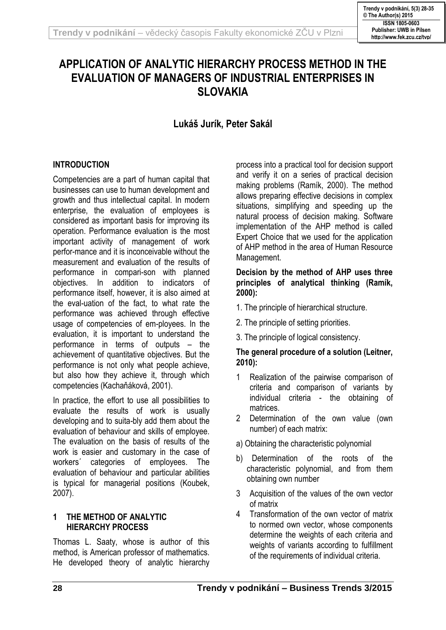# **APPLICATION OF ANALYTIC HIERARCHY PROCESS METHOD IN THE EVALUATION OF MANAGERS OF INDUSTRIAL ENTERPRISES IN SLOVAKIA**

**Lukáš Jurík, Peter Sakál**

# **INTRODUCTION**

Competencies are a part of human capital that businesses can use to human development and growth and thus intellectual capital. In modern enterprise, the evaluation of employees is considered as important basis for improving its operation. Performance evaluation is the most important activity of management of work perfor-mance and it is inconceivable without the measurement and evaluation of the results of performance in compari-son with planned objectives. In addition to indicators of performance itself, however, it is also aimed at the eval-uation of the fact, to what rate the performance was achieved through effective usage of competencies of em-ployees. In the evaluation, it is important to understand the performance in terms of outputs – the achievement of quantitative objectives. But the performance is not only what people achieve, but also how they achieve it, through which competencies (Kachaňáková, 2001).

In practice, the effort to use all possibilities to evaluate the results of work is usually developing and to suita-bly add them about the evaluation of behaviour and skills of employee. The evaluation on the basis of results of the work is easier and customary in the case of workers´ categories of employees. The evaluation of behaviour and particular abilities is typical for managerial positions (Koubek, 2007).

# **1 THE METHOD OF ANALYTIC HIERARCHY PROCESS**

Thomas L. Saaty, whose is author of this method, is American professor of mathematics. He developed theory of analytic hierarchy process into a practical tool for decision support and verify it on a series of practical decision making problems (Ramík, 2000). The method allows preparing effective decisions in complex situations, simplifying and speeding up the natural process of decision making. Software implementation of the AHP method is called Expert Choice that we used for the application of AHP method in the area of Human Resource Management.

### **Decision by the method of AHP uses three principles of analytical thinking (Ramík, 2000):**

- 1. The principle of hierarchical structure.
- 2. The principle of setting priorities.
- 3. The principle of logical consistency.

### **The general procedure of a solution (Leitner, 2010):**

- 1 Realization of the pairwise comparison of criteria and comparison of variants by individual criteria - the obtaining of matrices.
- 2 Determination of the own value (own number) of each matrix:
- a) Obtaining the characteristic polynomial
- b) Determination of the roots of the characteristic polynomial, and from them obtaining own number
- 3 Acquisition of the values of the own vector of matrix
- 4 Transformation of the own vector of matrix to normed own vector, whose components determine the weights of each criteria and weights of variants according to fulfillment of the requirements of individual criteria.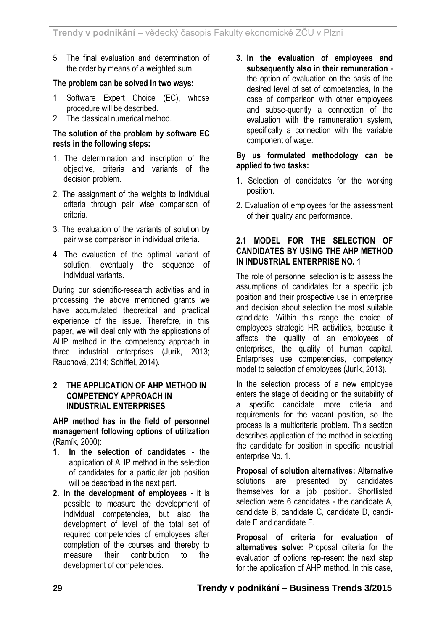5 The final evaluation and determination of the order by means of a weighted sum.

# **The problem can be solved in two ways:**

- 1 Software Expert Choice (EC), whose procedure will be described.
- 2 The classical numerical method.

### **The solution of the problem by software EC rests in the following steps:**

- 1. The determination and inscription of the objective, criteria and variants of the decision problem.
- 2. The assignment of the weights to individual criteria through pair wise comparison of criteria.
- 3. The evaluation of the variants of solution by pair wise comparison in individual criteria.
- 4. The evaluation of the optimal variant of solution, eventually the sequence of individual variants.

During our scientific-research activities and in processing the above mentioned grants we have accumulated theoretical and practical experience of the issue. Therefore, in this paper, we will deal only with the applications of AHP method in the competency approach in three industrial enterprises (Jurík, 2013; Rauchová, 2014; Schiffel, 2014)*.*

### **2 THE APPLICATION OF AHP METHOD IN COMPETENCY APPROACH IN INDUSTRIAL ENTERPRISES**

**AHP method has in the field of personnel management following options of utilization**  (Ramík, 2000):

- **1. In the selection of candidates** the application of AHP method in the selection of candidates for a particular job position will be described in the next part.
- **2. In the development of employees**  it is possible to measure the development of individual competencies, but also the development of level of the total set of required competencies of employees after completion of the courses and thereby to measure their contribution to the development of competencies.

**3. In the evaluation of employees and subsequently also in their remuneration** the option of evaluation on the basis of the desired level of set of competencies, in the case of comparison with other employees and subse-quently a connection of the evaluation with the remuneration system, specifically a connection with the variable component of wage.

### **By us formulated methodology can be applied to two tasks:**

- 1. Selection of candidates for the working position.
- 2. Evaluation of employees for the assessment of their quality and performance.

# **2.1 MODEL FOR THE SELECTION OF CANDIDATES BY USING THE AHP METHOD IN INDUSTRIAL ENTERPRISE NO. 1**

The role of personnel selection is to assess the assumptions of candidates for a specific job position and their prospective use in enterprise and decision about selection the most suitable candidate. Within this range the choice of employees strategic HR activities, because it affects the quality of an employees of enterprises, the quality of human capital. Enterprises use competencies, competency model to selection of employees (Jurík, 2013).

In the selection process of a new employee enters the stage of deciding on the suitability of a specific candidate more criteria and requirements for the vacant position, so the process is a multicriteria problem. This section describes application of the method in selecting the candidate for position in specific industrial enterprise No. 1.

**Proposal of solution alternatives:** Alternative solutions are presented by candidates themselves for a job position. Shortlisted selection were 6 candidates - the candidate A, candidate B, candidate C, candidate D, candidate E and candidate F.

**Proposal of criteria for evaluation of alternatives solve:** Proposal criteria for the evaluation of options rep-resent the next step for the application of AHP method. In this case,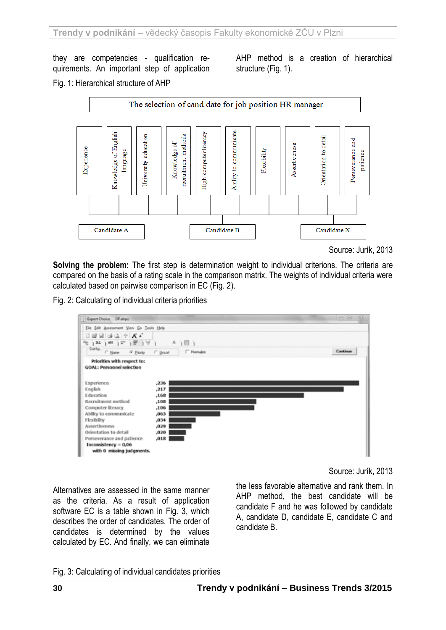they are competencies - qualification requirements. An important step of application AHP method is a creation of hierarchical structure (Fig. 1).

Fig. 1: Hierarchical structure of AHP



Source: Jurík, 2013

**Solving the problem:** The first step is determination weight to individual criterions. The criteria are compared on the basis of a rating scale in the comparison matrix. The weights of individual criteria were calculated based on pairwise comparison in EC (Fig. 2).

Fig. 2: Calculating of individual criteria priorities



Source: Jurík, 2013

Alternatives are assessed in the same manner as the criteria. As a result of application software EC is a table shown in Fig. 3, which describes the order of candidates. The order of candidates is determined by the values calculated by EC. And finally, we can eliminate

the less favorable alternative and rank them. In AHP method, the best candidate will be candidate F and he was followed by candidate A, candidate D, candidate E, candidate C and candidate B.

Fig. 3: Calculating of individual candidates priorities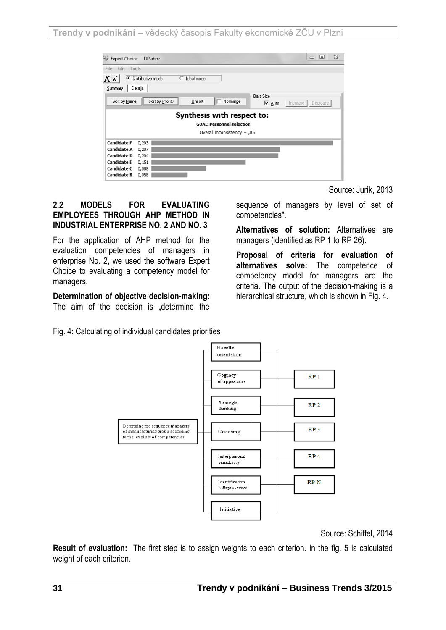**Trendy v podnikání** – vědecký časopis Fakulty ekonomické ZČU v Plzni

| ₩<br><b>Expert Choice</b>                                                                                   | DP.ahpz                                            |                 |                             |                                   |          | ▣<br>$\qquad \qquad \Box$ | $\Sigma$ |  |  |
|-------------------------------------------------------------------------------------------------------------|----------------------------------------------------|-----------------|-----------------------------|-----------------------------------|----------|---------------------------|----------|--|--|
| Edit<br>Tools<br>File                                                                                       |                                                    |                 |                             |                                   |          |                           |          |  |  |
| $\mathbf{A}^{\mathsf{T}}$<br>A<br>G                                                                         | Distributive mode                                  | O<br>Ideal mode |                             |                                   |          |                           |          |  |  |
| Summary                                                                                                     | Details                                            |                 |                             |                                   |          |                           |          |  |  |
| Sort by Name                                                                                                | Sort by Priority                                   | Unsort          | Normalize                   | <b>Bars Size</b><br><b>⊽</b> Auto | Increase | Decrease                  |          |  |  |
| Synthesis with respect to:<br><b>GOAL: Personnel selection</b>                                              |                                                    |                 |                             |                                   |          |                           |          |  |  |
|                                                                                                             |                                                    |                 | Overall Inconsistency = ,05 |                                   |          |                           |          |  |  |
| <b>Candidate F</b><br>Candidate A<br>Candidate D<br><b>Candidate E</b><br>Candidate C<br><b>Candidate B</b> | 0,293<br>0,207<br>0,204<br>0,151<br>0,088<br>0,058 |                 |                             |                                   |          |                           |          |  |  |

### **2.2 MODELS FOR EVALUATING EMPLOYEES THROUGH AHP METHOD IN INDUSTRIAL ENTERPRISE NO. 2 AND NO. 3**

For the application of AHP method for the evaluation competencies of managers in enterprise No. 2, we used the software Expert Choice to evaluating a competency model for managers.

#### **Determination of objective decision-making:** The aim of the decision is "determine the

Source: Jurík, 2013

sequence of managers by level of set of competencies".

**Alternatives of solution:** Alternatives are managers (identified as RP 1 to RP 26).

**Proposal of criteria for evaluation of alternatives solve:** The competence of competency model for managers are the criteria. The output of the decision-making is a hierarchical structure, which is shown in Fig. 4.

Fig. 4: Calculating of individual candidates priorities



Source: Schiffel, 2014

**Result of evaluation:** The first step is to assign weights to each criterion. In the fig. 5 is calculated weight of each criterion.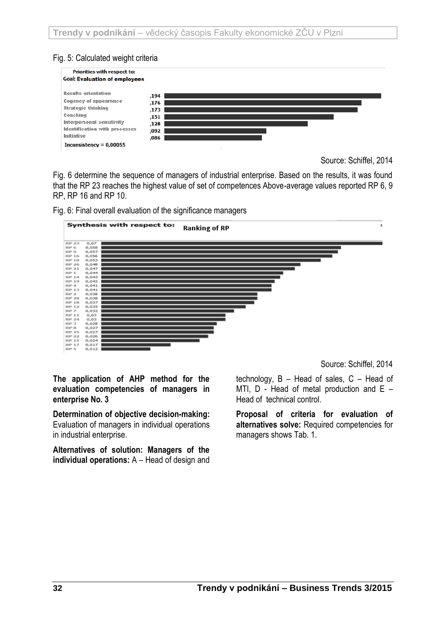# Fig. 5: Calculated weight criteria



Source: Schiffel, 2014

Fig. 6 determine the sequence of managers of industrial enterprise. Based on the results, it was found that the RP 23 reaches the highest value of set of competences Above-average values reported RP 6, 9 RP, RP 16 and RP 10.





**The application of AHP method for the evaluation competencies of managers in enterprise No. 3**

**Determination of objective decision-making:** Evaluation of managers in individual operations in industrial enterprise.

**Alternatives of solution: Managers of the individual operations:** A – Head of design and Source: Schiffel, 2014

technology,  $B - Head$  of sales,  $C - Head$ MTI,  $D$  - Head of metal production and  $E -$ Head of technical control.

**Proposal of criteria for evaluation of alternatives solve:** Required competencies for managers shows Tab. 1.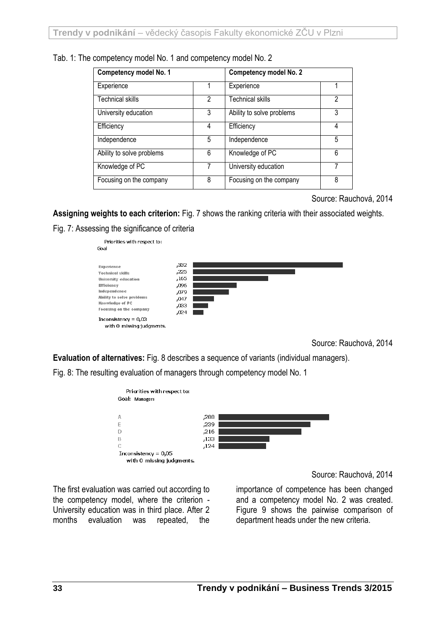| Competency model No. 1    |                | <b>Competency model No. 2</b> |   |  |
|---------------------------|----------------|-------------------------------|---|--|
| Experience                |                | Experience                    |   |  |
| <b>Technical skills</b>   | $\mathfrak{p}$ | Technical skills              | 2 |  |
| University education      | 3              | Ability to solve problems     | 3 |  |
| Efficiency                | 4              | Efficiency                    | 4 |  |
| Independence              | 5              | Independence                  | 5 |  |
| Ability to solve problems | 6              | Knowledge of PC               | 6 |  |
| Knowledge of PC           | 7              | University education          | 7 |  |
| Focusing on the company   | 8              | Focusing on the company       | 8 |  |

Source: Rauchová, 2014

**Assigning weights to each criterion:** Fig. 7 shows the ranking criteria with their associated weights.

Fig. 7: Assessing the significance of criteria



Source: Rauchová, 2014

**Evaluation of alternatives:** Fig. 8 describes a sequence of variants (individual managers).

Fig. 8: The resulting evaluation of managers through competency model No. 1



Source: Rauchová, 2014

The first evaluation was carried out according to the competency model, where the criterion - University education was in third place. After 2 months evaluation was repeated, the

importance of competence has been changed and a competency model No. 2 was created. Figure 9 shows the pairwise comparison of department heads under the new criteria.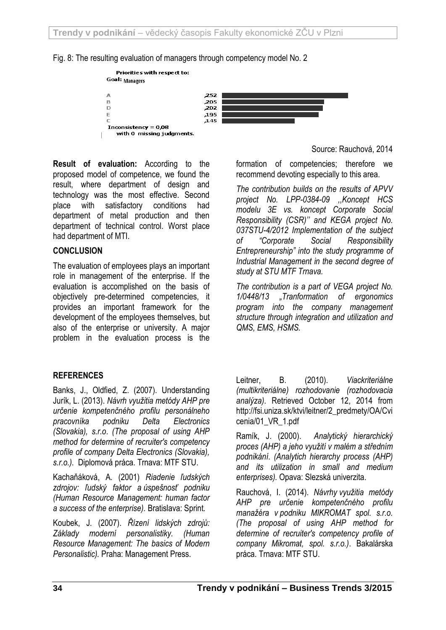



**Result of evaluation:** According to the proposed model of competence, we found the result, where department of design and technology was the most effective. Second place with satisfactory conditions had department of metal production and then department of technical control. Worst place had department of MTI.

# **CONCLUSION**

The evaluation of employees plays an important role in management of the enterprise. If the evaluation is accomplished on the basis of objectively pre-determined competencies, it provides an important framework for the development of the employees themselves, but also of the enterprise or university. A major problem in the evaluation process is the

# **REFERENCES**

Banks, J., Oldfied, Z. (2007). Understanding Jurík, L. (2013). *Návrh využitia metódy AHP pre určenie kompetenčného profilu personálneho pracovníka podniku Delta Electronics (Slovakia), s.r.o*. *(The proposal of using AHP method for determine of recruiter's competency profile of company Delta Electronics (Slovakia), s.r.o.).* Diplomová práca. Trnava: MTF STU.

Kachaňáková, A. (2001) *Riadenie ľudských zdrojov: ľudský faktor a úspešnosť podniku (Human Resource Management: human factor a success of the enterprise).* Bratislava: Sprint.

Koubek, J. (2007). *Řízení lidských zdrojů: Základy moderní personalistiky. (Human Resource Management: The basics of Modern Personalistic).* Praha: Management Press.

Source: Rauchová, 2014

formation of competencies; therefore we recommend devoting especially to this area.

*The contribution builds on the results of APVV project No. LPP-0384-09 ,,Koncept HCS modelu 3E vs. koncept Corporate Social Responsibility (CSR)'' and KEGA project No. 037STU-4/2012 Implementation of the subject of "Corporate Social Responsibility Entrepreneurship" into the study programme of Industrial Management in the second degree of study at STU MTF Trnava.*

*The contribution is a part of VEGA project No. 1/0448/13 "Tranformation of ergonomics program into the company management structure through integration and utilization and QMS, EMS, HSMS.*

Leitner, B. (2010). *Viackriteriálne (multikriteriálne) rozhodovanie (rozhodovacia analýza)*. Retrieved October 12, 2014 from http://fsi.uniza.sk/ktvi/leitner/2\_predmety/OA/Cvi cenia/01\_VR\_1.pdf

Ramík, J. (2000). *Analytický hierarchický proces (AHP) a jeho využití v malém a středním podnikání*. *(Analytich hierarchy process (AHP) and its utilization in small and medium enterprises).* Opava: Slezská univerzita.

Rauchová, I. (2014). *Návrhy využitia metódy AHP pre určenie kompetenčného profilu manažéra v podniku MIKROMAT spol. s.r.o. (The proposal of using AHP method for determine of recruiter's competency profile of company Mikromat, spol. s.r.o.)*. Bakalárska práca. Trnava: MTF STU.